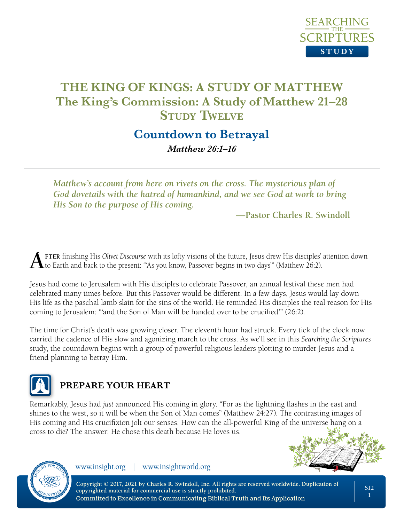

# **Countdown to Betrayal**

*Matthew 26:1–16*

*Matthew's account from here on rivets on the cross. The mysterious plan of God dovetails with the hatred of humankind, and we see God at work to bring His Son to the purpose of His coming.*

**—Pastor Charles R. Swindoll**

**A** FTER finishing His Olivet Discourse with its lofty visions of the future, Jesus drew His disciples' attention down to Earth and back to the present: "As you know, Passover begins in two days" (Matthew 26:2).

Jesus had come to Jerusalem with His disciples to celebrate Passover, an annual festival these men had celebrated many times before. But this Passover would be different. In a few days, Jesus would lay down His life as the paschal lamb slain for the sins of the world. He reminded His disciples the real reason for His coming to Jerusalem: "'and the Son of Man will be handed over to be crucified'" (26:2).

The time for Christ's death was growing closer. The eleventh hour had struck. Every tick of the clock now carried the cadence of His slow and agonizing march to the cross. As we'll see in this *Searching the Scriptures* study, the countdown begins with a group of powerful religious leaders plotting to murder Jesus and a friend planning to betray Him.



# **PREPARE YOUR HEART**

Remarkably, Jesus had *just* announced His coming in glory. "For as the lightning flashes in the east and shines to the west, so it will be when the Son of Man comes" (Matthew 24:27). The contrasting images of His coming and His crucifixion jolt our senses. How can the all-powerful King of the universe hang on a cross to die? The answer: He chose this death because He loves us.





www.insight.org | www.insightworld.org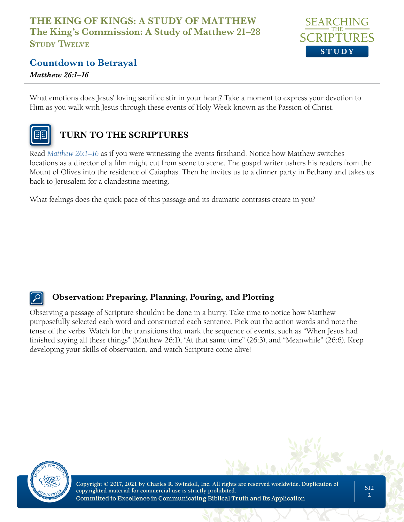

# **Countdown to Betrayal**

*Matthew 26:1–16*

What emotions does Jesus' loving sacrifice stir in your heart? Take a moment to express your devotion to Him as you walk with Jesus through these events of Holy Week known as the Passion of Christ.



# **TURN TO THE SCRIPTURES**

Read *Matthew 26:1–16* as if you were witnessing the events firsthand. Notice how Matthew switches locations as a director of a film might cut from scene to scene. The gospel writer ushers his readers from the Mount of Olives into the residence of Caiaphas. Then he invites us to a dinner party in Bethany and takes us back to Jerusalem for a clandestine meeting.

What feelings does the quick pace of this passage and its dramatic contrasts create in you?

## **Observation: Preparing, Planning, Pouring, and Plotting**

Observing a passage of Scripture shouldn't be done in a hurry. Take time to notice how Matthew purposefully selected each word and constructed each sentence. Pick out the action words and note the tense of the verbs. Watch for the transitions that mark the sequence of events, such as "When Jesus had finished saying all these things" (Matthew 26:1), "At that same time" (26:3), and "Meanwhile" (26:6). Keep developing your skills of observation, and watch Scripture come alive!<sup>1</sup>

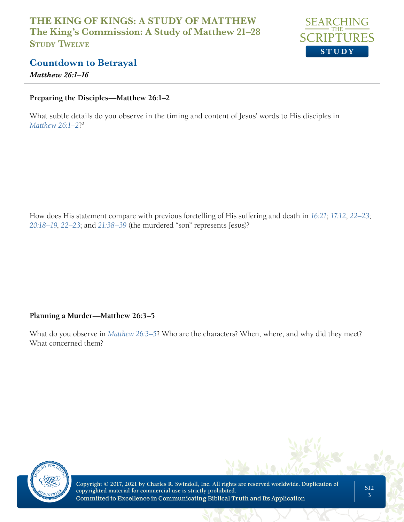

# **Countdown to Betrayal**

*Matthew 26:1–16*

#### **Preparing the Disciples—Matthew 26:1–2**

What subtle details do you observe in the timing and content of Jesus' words to His disciples in *Matthew 26:1–2*?2

How does His statement compare with previous foretelling of His suffering and death in *16:21*; *17:12*, *22–23*; *20:18–19*, *22–23*; and *21:38–39* (the murdered "son" represents Jesus)?

#### **Planning a Murder—Matthew 26:3–5**

What do you observe in *Matthew 26:3–5*? Who are the characters? When, where, and why did they meet? What concerned them?

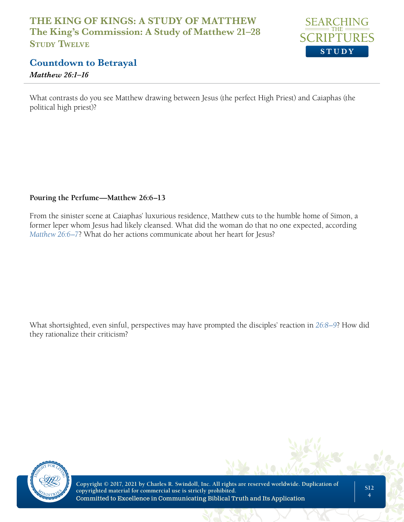

# **Countdown to Betrayal**

*Matthew 26:1–16*

What contrasts do you see Matthew drawing between Jesus (the perfect High Priest) and Caiaphas (the political high priest)?

#### **Pouring the Perfume—Matthew 26:6–13**

From the sinister scene at Caiaphas' luxurious residence, Matthew cuts to the humble home of Simon, a former leper whom Jesus had likely cleansed. What did the woman do that no one expected, according *Matthew 26:6–7*? What do her actions communicate about her heart for Jesus?

What shortsighted, even sinful, perspectives may have prompted the disciples' reaction in *26:8–9*? How did they rationalize their criticism?

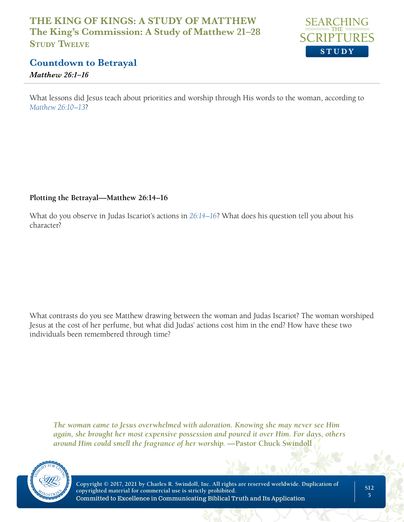

# **Countdown to Betrayal**

*Matthew 26:1–16*

What lessons did Jesus teach about priorities and worship through His words to the woman, according to *Matthew 26:10–13*?

#### **Plotting the Betrayal—Matthew 26:14–16**

What do you observe in Judas Iscariot's actions in *26:14–16*? What does his question tell you about his character?

What contrasts do you see Matthew drawing between the woman and Judas Iscariot? The woman worshiped Jesus at the cost of her perfume, but what did Judas' actions cost him in the end? How have these two individuals been remembered through time?

*The woman came to Jesus overwhelmed with adoration. Knowing she may never see Him again, she brought her most expensive possession and poured it over Him. For days, others around Him could smell the fragrance of her worship.* **—Pastor Chuck Swindoll**

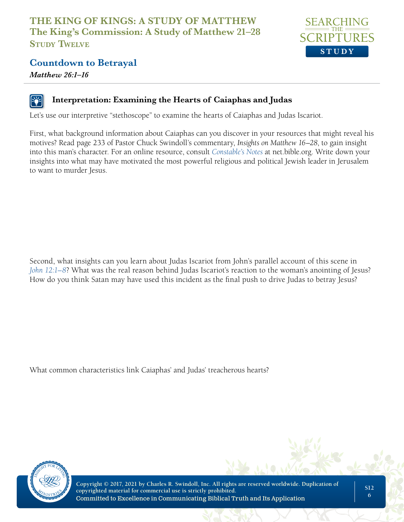

## **Countdown to Betrayal**

*Matthew 26:1–16*

## **Interpretation: Examining the Hearts of Caiaphas and Judas**

Let's use our interpretive "stethoscope" to examine the hearts of Caiaphas and Judas Iscariot.

First, what background information about Caiaphas can you discover in your resources that might reveal his motives? Read page 233 of Pastor Chuck Swindoll's commentary, *Insights on Matthew 16–28*, to gain insight into this man's character. For an online resource, consult *Constable's Notes* at net.bible.org. Write down your insights into what may have motivated the most powerful religious and political Jewish leader in Jerusalem to want to murder Jesus.

Second, what insights can you learn about Judas Iscariot from John's parallel account of this scene in *John 12:1–8*? What was the real reason behind Judas Iscariot's reaction to the woman's anointing of Jesus? How do you think Satan may have used this incident as the final push to drive Judas to betray Jesus?

What common characteristics link Caiaphas' and Judas' treacherous hearts?



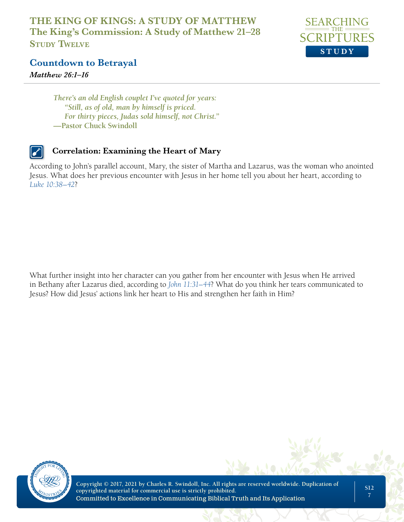

**Countdown to Betrayal**

*Matthew 26:1–16*

*There's an old English couplet I've quoted for years: "Still, as of old, man by himself is priced. For thirty pieces, Judas sold himself, not Christ."* **—Pastor Chuck Swindoll** 

## **Correlation: Examining the Heart of Mary**

According to John's parallel account, Mary, the sister of Martha and Lazarus, was the woman who anointed Jesus. What does her previous encounter with Jesus in her home tell you about her heart, according to *Luke 10:38–42*?

What further insight into her character can you gather from her encounter with Jesus when He arrived in Bethany after Lazarus died, according to *John 11:31–44*? What do you think her tears communicated to Jesus? How did Jesus' actions link her heart to His and strengthen her faith in Him?

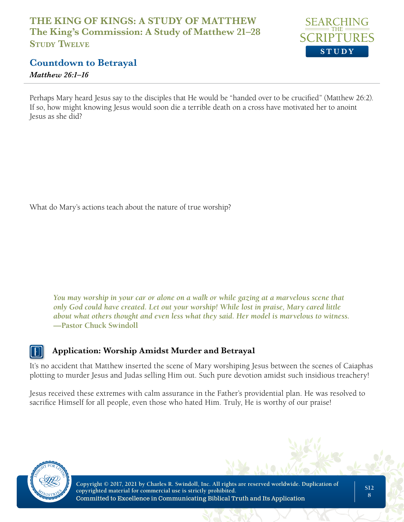

# **Countdown to Betrayal**

#### *Matthew 26:1–16*

Perhaps Mary heard Jesus say to the disciples that He would be "handed over to be crucified" (Matthew 26:2). If so, how might knowing Jesus would soon die a terrible death on a cross have motivated her to anoint Jesus as she did?

What do Mary's actions teach about the nature of true worship?

*You may worship in your car or alone on a walk or while gazing at a marvelous scene that only God could have created. Let out your worship! While lost in praise, Mary cared little about what others thought and even less what they said. Her model is marvelous to witness.* **—Pastor Chuck Swindoll**

### **Application: Worship Amidst Murder and Betrayal**

It's no accident that Matthew inserted the scene of Mary worshiping Jesus between the scenes of Caiaphas plotting to murder Jesus and Judas selling Him out. Such pure devotion amidst such insidious treachery!

Jesus received these extremes with calm assurance in the Father's providential plan. He was resolved to sacrifice Himself for all people, even those who hated Him. Truly, He is worthy of our praise!

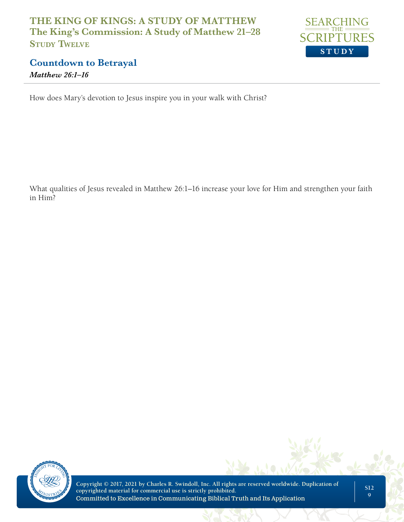

## **Countdown to Betrayal** *Matthew 26:1–16*

How does Mary's devotion to Jesus inspire you in your walk with Christ?

What qualities of Jesus revealed in Matthew 26:1–16 increase your love for Him and strengthen your faith in Him?